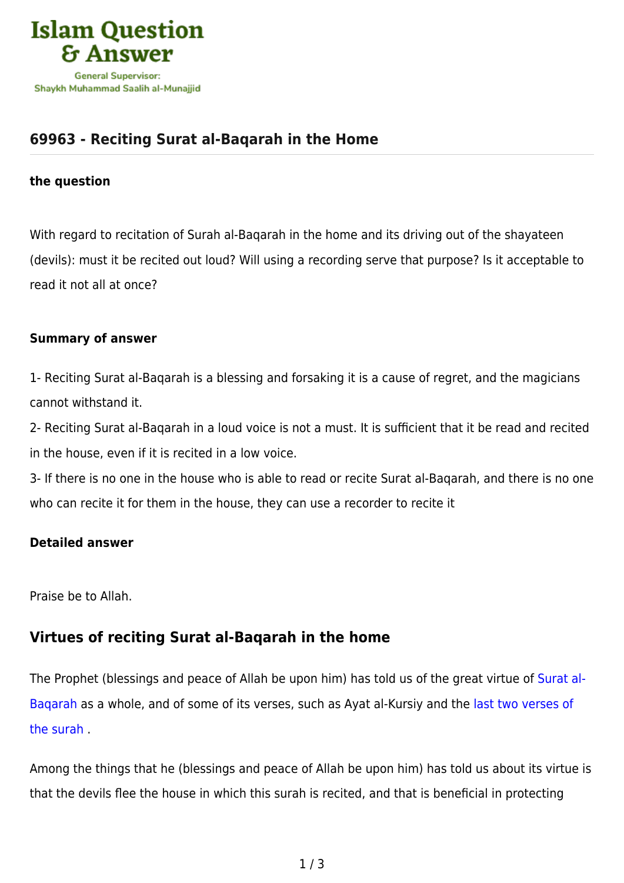

# **[69963 - Reciting Surat al-Baqarah in the Home](https://islamqa.com/en/answers/69963/reciting-surat-al-baqarah-in-the-home)**

### **the question**

With regard to recitation of Surah al-Baqarah in the home and its driving out of the shayateen (devils): must it be recited out loud? Will using a recording serve that purpose? Is it acceptable to read it not all at once?

### **Summary of answer**

1- Reciting Surat al-Baqarah is a blessing and forsaking it is a cause of regret, and the magicians cannot withstand it.

2- Reciting Surat al-Baqarah in a loud voice is not a must. It is sufficient that it be read and recited in the house, even if it is recited in a low voice.

3- If there is no one in the house who is able to read or recite Surat al-Baqarah, and there is no one who can recite it for them in the house, they can use a recorder to recite it

### **Detailed answer**

Praise be to Allah.

### **Virtues of reciting Surat al-Baqarah in the home**

The Prophet (blessings and peace of Allah be upon him) has told us of the great virtue of [Surat al-](https://islamqa.com/en/answers/110715)[Baqarah](https://islamqa.com/en/answers/110715) as a whole, and of some of its verses, such as Ayat al-Kursiy and the [last two verses of](https://islamqa.com/en/answers/69902) [the surah](https://islamqa.com/en/answers/69902) .

Among the things that he (blessings and peace of Allah be upon him) has told us about its virtue is that the devils flee the house in which this surah is recited, and that is beneficial in protecting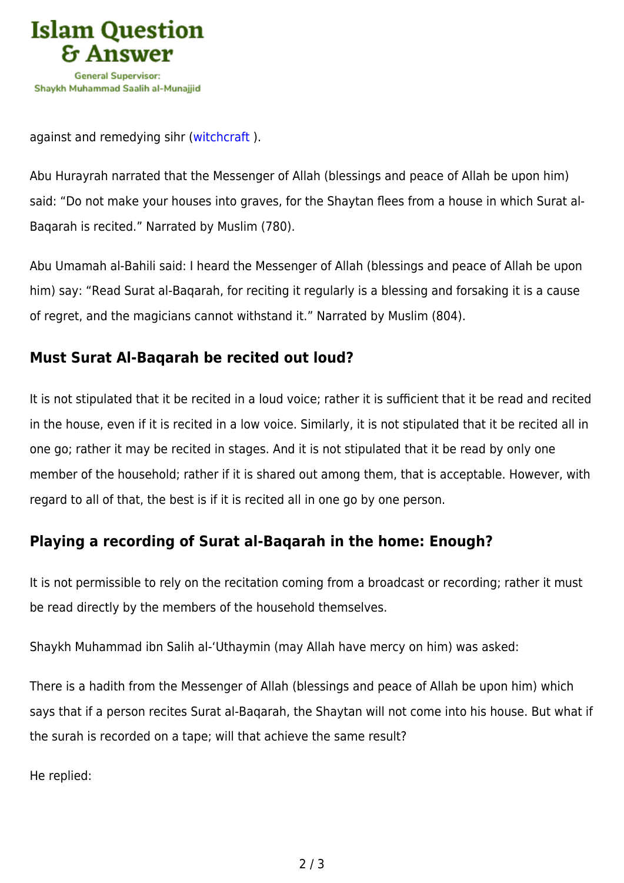

against and remedying sihr [\(witchcraft](https://islamqa.com/en/answers/11290) ).

Abu Hurayrah narrated that the Messenger of Allah (blessings and peace of Allah be upon him) said: "Do not make your houses into graves, for the Shaytan flees from a house in which Surat al-Baqarah is recited." Narrated by Muslim (780).

Abu Umamah al-Bahili said: I heard the Messenger of Allah (blessings and peace of Allah be upon him) say: "Read Surat al-Baqarah, for reciting it regularly is a blessing and forsaking it is a cause of regret, and the magicians cannot withstand it." Narrated by Muslim (804).

# **Must Surat Al-Baqarah be recited out loud?**

It is not stipulated that it be recited in a loud voice; rather it is sufficient that it be read and recited in the house, even if it is recited in a low voice. Similarly, it is not stipulated that it be recited all in one go; rather it may be recited in stages. And it is not stipulated that it be read by only one member of the household; rather if it is shared out among them, that is acceptable. However, with regard to all of that, the best is if it is recited all in one go by one person.

# **Playing a recording of Surat al-Baqarah in the home: Enough?**

It is not permissible to rely on the recitation coming from a broadcast or recording; rather it must be read directly by the members of the household themselves.

Shaykh Muhammad ibn Salih al-'Uthaymin (may Allah have mercy on him) was asked:

There is a hadith from the Messenger of Allah (blessings and peace of Allah be upon him) which says that if a person recites Surat al-Baqarah, the Shaytan will not come into his house. But what if the surah is recorded on a tape; will that achieve the same result?

He replied: